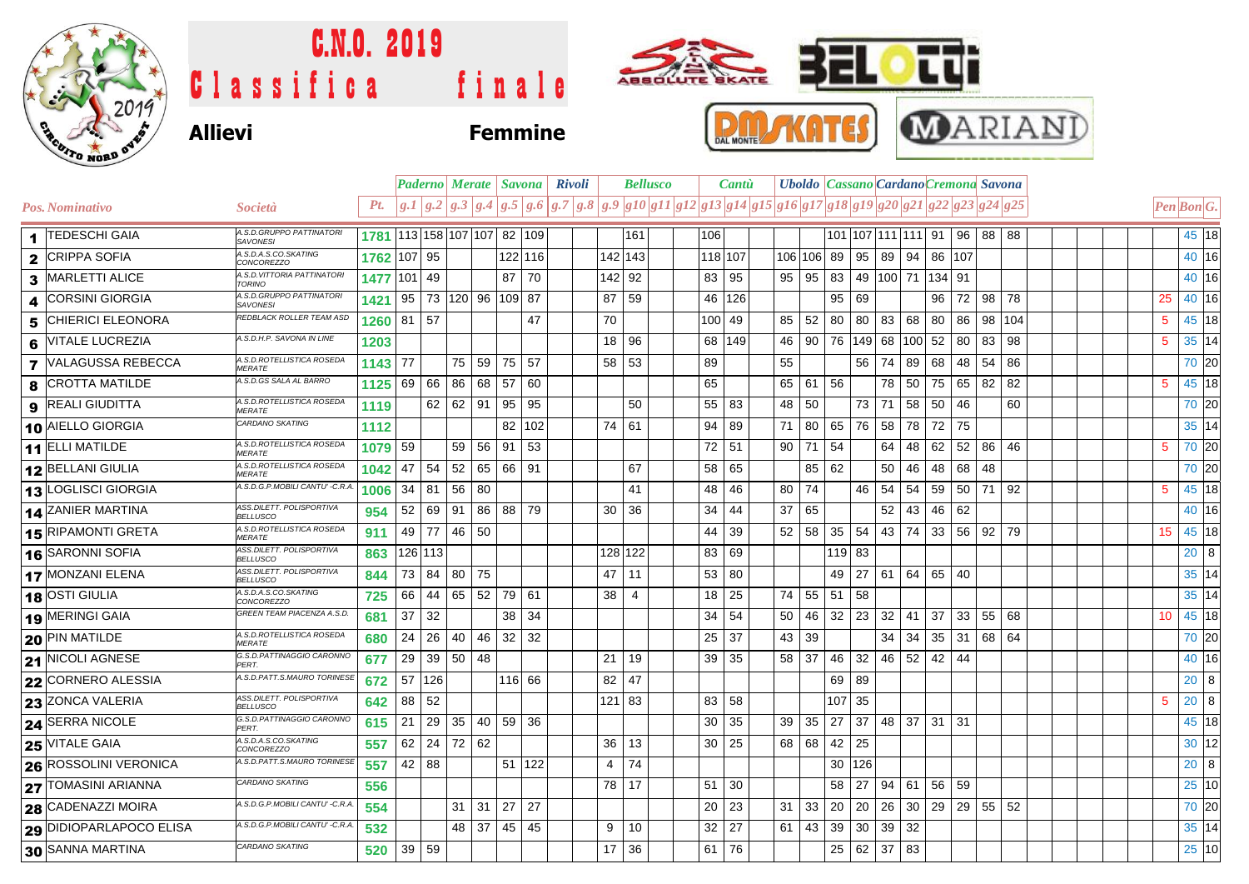

## C.N.O. 2019 ABBOLUTE BKATE Classifica finale **Allievi Femmine**





|                              |                                                    |                             |        | Paderno  Merate   Savona   Rivoli |    |    |          |     |  |                 | <b>Bellusco</b>                                                                                        |                  | <b>Cantu</b> |    | <b>Uboldo Cassano Cardano Cremona Savona</b> |    |             |                 |    |              |                    |          |                   |            |  |  |                 |              |  |
|------------------------------|----------------------------------------------------|-----------------------------|--------|-----------------------------------|----|----|----------|-----|--|-----------------|--------------------------------------------------------------------------------------------------------|------------------|--------------|----|----------------------------------------------|----|-------------|-----------------|----|--------------|--------------------|----------|-------------------|------------|--|--|-----------------|--------------|--|
| <b>Pos. Nominativo</b>       | <i>Società</i>                                     | Pt.                         |        |                                   |    |    |          |     |  |                 | $ g.I g.2 g.3 g.4 g.5 g.6 g.7 g.8 g.9 g10 g11 g12 g13 g14 g15 g16 g17 g18 g19 g20 g21 g22 g23 g24 g25$ |                  |              |    |                                              |    |             |                 |    |              |                    |          |                   |            |  |  | Pen Bon G.      |              |  |
| 1 TEDESCHI GAIA              | A.S.D.GRUPPO PATTINATOR<br><b>SAVONESI</b>         | 1781 113 158 107 107 82 109 |        |                                   |    |    |          |     |  |                 | 161                                                                                                    | 106              |              |    |                                              |    |             |                 |    |              | 101 107 111 111 91 |          |                   | 96 88 88   |  |  |                 | 45 18        |  |
| 2 CRIPPA SOFIA               | A.S.D.A.S.CO.SKATING<br>CONCOREZZO                 | 1762                        | 107 95 |                                   |    |    | 122 116  |     |  | 142 143         |                                                                                                        |                  | 118 107      |    | 106 106 89 95 89 94 86 107                   |    |             |                 |    |              |                    |          |                   |            |  |  |                 | 40 16        |  |
| 3 MARLETTI ALICE             | A.S.D.VITTORIA PATTINATORI<br><b>TORINO</b>        | 1477                        | 101 49 |                                   |    |    | 87       | 70  |  | 142 92          |                                                                                                        | 83               | 95           |    | 95   95   83   49   100   71   134   91      |    |             |                 |    |              |                    |          |                   |            |  |  |                 | 40 16        |  |
| <b>CORSINI GIORGIA</b>       | A.S.D.GRUPPO PATTINATORI<br><b>SAVONESI</b>        | 1421                        | 95     | 73   120   96   109   87          |    |    |          |     |  | 87              | 59                                                                                                     | 46               | 126          |    |                                              |    | 95          | 69              |    |              | 96                 | 72       |                   | $98$ 78    |  |  | 25              | 40 16        |  |
| <b>5 CHIERICI ELEONORA</b>   | REDBLACK ROLLER TEAM ASD                           | 1260                        | 81 57  |                                   |    |    |          | 47  |  | 70              |                                                                                                        | 100 <sub>1</sub> | 49           |    | 52<br>85                                     |    | 80 80 83 68 |                 |    |              | 80                 | 86       |                   | 98 104     |  |  | 5               | 45 18        |  |
| 6 VITALE LUCREZIA            | A.S.D.H.P. SAVONA IN LINE                          | 1203                        |        |                                   |    |    |          |     |  | 18 96           |                                                                                                        |                  | 68 149       |    | 46   90   76   149   68   100   52           |    |             |                 |    |              |                    | 80       | 83                | 98         |  |  | $5\phantom{.0}$ | 35 14        |  |
| <b>7 VALAGUSSA REBECCA</b>   | A.S.D.ROTELLISTICA ROSEDA<br>MERATE                | 1143                        | 77     |                                   | 75 | 59 | 75       | 57  |  | 58 53           |                                                                                                        | 89               |              | 55 |                                              |    |             | 56 <sup>1</sup> |    | 74 89        | 68                 | 48       | 54                | 86         |  |  |                 | 70 20        |  |
| 8 CROTTA MATILDE             | A.S.D.GS SALA AL BARRO                             | 1125                        | 69     | 66                                | 86 | 68 | 57       | 60  |  |                 |                                                                                                        | 65               |              |    | 65 61 56                                     |    |             |                 |    | 78 50        | 75                 | 65       | 82                | 82         |  |  | 5               | 45 18        |  |
| <b>9</b> REALI GIUDITTA      | A.S.D.ROTELLISTICA ROSEDA<br><b>MERATE</b>         | 1119                        |        | 62 62                             |    | 91 | 95       | 95  |  |                 | 50                                                                                                     | 55               | 83           | 48 | 50                                           |    |             |                 |    | 73 71 58     | 50                 | 46       |                   | 60         |  |  |                 | 70 20        |  |
| 10 AIELLO GIORGIA            | CARDANO SKATING                                    | 1112                        |        |                                   |    |    | 82       | 102 |  | 74              | 61                                                                                                     | 94               | 89           | 71 | 80                                           |    | 65   76     |                 | 58 | 78           | 72                 | 75       |                   |            |  |  |                 | 35 14        |  |
| 11 ELLI MATILDE              | 4.S.D.ROTELLISTICA ROSEDA<br><b>MERATE</b>         | 1079                        | 59     |                                   | 59 | 56 | 91       | 53  |  |                 |                                                                                                        | 72               | 51           |    | 90<br>71                                     |    | -54         |                 | 64 | 48           | 62                 | 52       | -86               | 46         |  |  | 5               | 70 20        |  |
| 12 BELLANI GIULIA            | A.S.D.ROTELLISTICA ROSEDA<br><b>MERATE</b>         | 1042                        | 47     | 54                                | 52 |    | 65 66 91 |     |  |                 | 67                                                                                                     | 58               | 65           |    |                                              | 85 | 62          |                 | 50 | 46           | 48                 | 68 48    |                   |            |  |  |                 | 70 20        |  |
| 13 LOGLISCI GIORGIA          | A.S.D.G.P.MOBILI CANTU' -C.R.A.                    | 1006                        |        | 34 81                             | 56 | 80 |          |     |  |                 | 41                                                                                                     | 48               | 46           | 80 | 74                                           |    |             | 46              |    | 54 54        | 59                 | 50 71 92 |                   |            |  |  | 5               | 45 18        |  |
| 14 ZANIER MARTINA            | ASS.DILETT. POLISPORTIVA<br><b>BELLUSCO</b>        | 954                         |        | 52 69                             | 91 | 86 | 88 79    |     |  | 30              | 36                                                                                                     | 34               | 44           | 37 | 65                                           |    |             |                 |    | $52 \mid 43$ | 46                 | 62       |                   |            |  |  |                 | 40 16        |  |
| 15 RIPAMONTI GRETA           | A.S.D.ROTELLISTICA ROSEDA<br><b>MERATE</b>         | 911                         |        | 49 77                             | 46 | 50 |          |     |  |                 |                                                                                                        | 44               | 39           | 52 | 58                                           |    | 35          | 54              |    |              | 43 74 33           |          |                   | 56 92 79   |  |  | 15              | 45 18        |  |
| 16 SARONNI SOFIA             | ASS.DILETT. POLISPORTIVA<br><b>BELLUSCO</b>        | 863                         |        | 126 113                           |    |    |          |     |  | 128 122         |                                                                                                        | 83               | 69           |    |                                              |    | $119$ 83    |                 |    |              |                    |          |                   |            |  |  |                 | 20 8         |  |
| 17 MONZANI ELENA             | <b>ASS.DILETT. POLISPORTIVA</b><br><b>BELLUSCO</b> | 844                         |        | 73 84                             | 80 | 75 |          |     |  | 47              | 11                                                                                                     | 53               | 80           |    |                                              |    | 49          |                 |    |              | 27 61 64 65 40     |          |                   |            |  |  |                 | 35 14        |  |
| 18 OSTI GIULIA               | 4.S.D.A.S.CO.SKATING<br><b>CONCOREZZO</b>          | 725                         | 66     | 44 65                             |    |    | 52 79 61 |     |  | 38              | 4                                                                                                      | 18               | 25           |    | 74 55                                        |    | 51 58       |                 |    |              |                    |          |                   |            |  |  |                 | 35 14        |  |
| 19 MERINGI GAIA              | GREEN TEAM PIACENZA A.S.D.                         | 681                         | 37     | 32                                |    |    | 38       | 34  |  |                 |                                                                                                        | 34               | 54           | 50 | 46                                           |    | 32          | 23              |    | $32 \mid 41$ | 37                 |          | $33 \mid 55 \mid$ | 68         |  |  | 10              | 45 18        |  |
| <b>20 PIN MATILDE</b>        | A.S.D.ROTELLISTICA ROSEDA<br><b>MERATE</b>         | 680                         | 24     | 26                                | 40 | 46 | 32       | 32  |  |                 |                                                                                                        | 25               | 37           | 43 | 39                                           |    |             |                 |    | $34 \mid 34$ | 35                 | 31       |                   | 68 64      |  |  |                 | 70 20        |  |
| 21 NICOLI AGNESE             | G.S.D.PATTINAGGIO CARONNO<br>PERT.                 | 677                         | 29     | 39 50                             |    | 48 |          |     |  | 21              | 19                                                                                                     | 39               | 35           |    | 58 37                                        |    | 46 32       |                 |    |              | 46 52 42 44        |          |                   |            |  |  |                 | 40 16        |  |
| 22 CORNERO ALESSIA           | A.S.D.PATT.S.MAURO TORINESE                        | 672                         |        | 57 126                            |    |    | 116 66   |     |  | 82              | 47                                                                                                     |                  |              |    |                                              |    | 69          | 89              |    |              |                    |          |                   |            |  |  |                 | $20 \vert 8$ |  |
| 23 ZONCA VALERIA             | ASS.DILETT. POLISPORTIVA<br><b>BELLUSCO</b>        | 642                         | 88     | 52                                |    |    |          |     |  | 121 83          |                                                                                                        | 83               | 58           |    |                                              |    | 107 35      |                 |    |              |                    |          |                   |            |  |  | 5               | $20 \quad 8$ |  |
| <b>24 SERRA NICOLE</b>       | G.S.D.PATTINAGGIO CARONNO<br>PERT.                 | 615                         | 21     | 29                                | 35 |    | 40 59 36 |     |  |                 |                                                                                                        | 30               | 35           |    | 39<br>35                                     |    |             |                 |    |              | 27 37 48 37 31 31  |          |                   |            |  |  |                 | 45 18        |  |
| <b>25 VITALE GAIA</b>        | A.S.D.A.S.CO.SKATING<br><b>CONCOREZZO</b>          | 557                         |        | $62$   24                         | 72 | 62 |          |     |  | 36              | 13                                                                                                     | 30               | 25           |    | 68 68                                        |    | 42          | 25              |    |              |                    |          |                   |            |  |  |                 | 30 12        |  |
| <b>26 ROSSOLINI VERONICA</b> | A.S.D.PATT.S.MAURO TORINESE                        | 557                         |        | 42 88                             |    |    | 51 122   |     |  | 4               | 74                                                                                                     |                  |              |    |                                              |    | 30 126      |                 |    |              |                    |          |                   |            |  |  |                 | $20 \quad 8$ |  |
| <b>27 TOMASINI ARIANNA</b>   | CARDANO SKATING                                    | 556                         |        |                                   |    |    |          |     |  | 78   17         |                                                                                                        | 51               | 30           |    |                                              |    | 58          | 27              | 94 | 61           | 56 59              |          |                   |            |  |  |                 | 25 10        |  |
| 28 CADENAZZI MOIRA           | A.S.D.G.P.MOBILI CANTU' -C.R.A.                    | 554                         |        |                                   | 31 | 31 | 27       | 27  |  |                 |                                                                                                        | 20               | 23           | 31 | 33                                           |    | 20 20       |                 |    |              | 26 30 29           |          |                   | $29$ 55 52 |  |  |                 | 70 20        |  |
| 29 DIDIOPARLAPOCO ELISA      | A.S.D.G.P.MOBILI CANTU' -C.R.A.                    | 532                         |        |                                   | 48 | 37 | 45       | 45  |  | 9               | 10                                                                                                     | 32               | 27           | 61 | 43                                           |    | 39          | 30              |    | $39 \mid 32$ |                    |          |                   |            |  |  |                 | 35 14        |  |
| 30 SANNA MARTINA             | CARDANO SKATING                                    | 520                         | 39 59  |                                   |    |    |          |     |  | 17 <sup>1</sup> | 36                                                                                                     | 61 I             | 76           |    |                                              |    | 25 62 37 83 |                 |    |              |                    |          |                   |            |  |  |                 | 25 10        |  |
|                              |                                                    |                             |        |                                   |    |    |          |     |  |                 |                                                                                                        |                  |              |    |                                              |    |             |                 |    |              |                    |          |                   |            |  |  |                 |              |  |